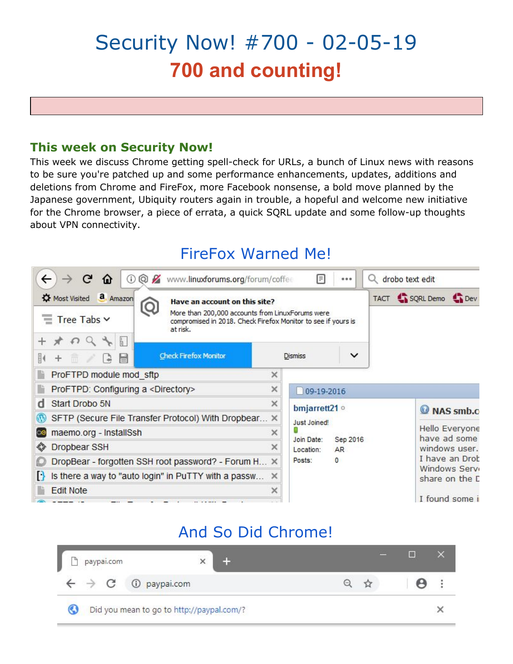# Security Now! #700 - 02-05-19 **700 and counting!**

## **This week on Security Now!**

This week we discuss Chrome getting spell-check for URLs, a bunch of Linux news with reasons to be sure you're patched up and some performance enhancements, updates, additions and deletions from Chrome and FireFox, more Facebook nonsense, a bold move planned by the Japanese government, Ubiquity routers again in trouble, a hopeful and welcome new initiative for the Chrome browser, a piece of errata, a quick SQRL update and some follow-up thoughts about VPN connectivity.

## FireFox Warned Me!



## And So Did Chrome!

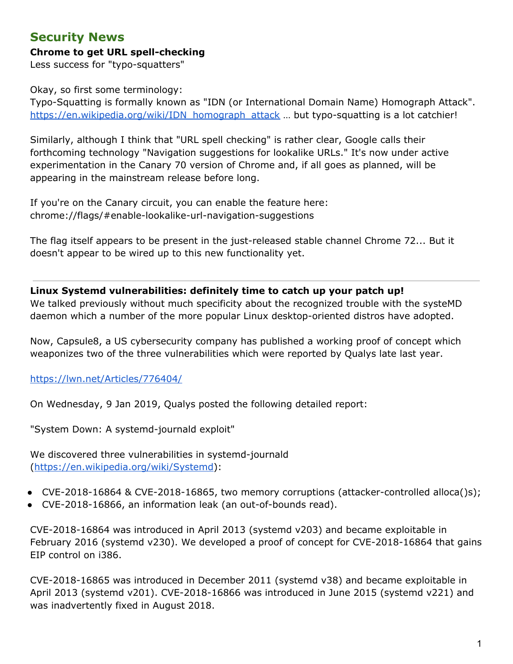## **Security News**

#### **Chrome to get URL spell-checking**

Less success for "typo-squatters"

Okay, so first some terminology:

Typo-Squatting is formally known as "IDN (or International Domain Name) Homograph Attack". [https://en.wikipedia.org/wiki/IDN\\_homograph\\_attack](https://en.wikipedia.org/wiki/IDN_homograph_attack) ... but typo-squatting is a lot catchier!

Similarly, although I think that "URL spell checking" is rather clear, Google calls their forthcoming technology "Navigation suggestions for lookalike URLs." It's now under active experimentation in the Canary 70 version of Chrome and, if all goes as planned, will be appearing in the mainstream release before long.

If you're on the Canary circuit, you can enable the feature here: chrome://flags/#enable-lookalike-url-navigation-suggestions

The flag itself appears to be present in the just-released stable channel Chrome 72... But it doesn't appear to be wired up to this new functionality yet.

**Linux Systemd vulnerabilities: definitely time to catch up your patch up!**

We talked previously without much specificity about the recognized trouble with the systeMD daemon which a number of the more popular Linux desktop-oriented distros have adopted.

Now, Capsule8, a US cybersecurity company has published a working proof of concept which weaponizes two of the three vulnerabilities which were reported by Qualys late last year.

<https://lwn.net/Articles/776404/>

On Wednesday, 9 Jan 2019, Qualys posted the following detailed report:

"System Down: A systemd-journald exploit"

We discovered three vulnerabilities in systemd-journald ([https://en.wikipedia.org/wiki/Systemd\)](https://en.wikipedia.org/wiki/Systemd):

- CVE-2018-16864 & CVE-2018-16865, two memory corruptions (attacker-controlled alloca()s);
- CVE-2018-16866, an information leak (an out-of-bounds read).

CVE-2018-16864 was introduced in April 2013 (systemd v203) and became exploitable in February 2016 (systemd v230). We developed a proof of concept for CVE-2018-16864 that gains EIP control on i386.

CVE-2018-16865 was introduced in December 2011 (systemd v38) and became exploitable in April 2013 (systemd v201). CVE-2018-16866 was introduced in June 2015 (systemd v221) and was inadvertently fixed in August 2018.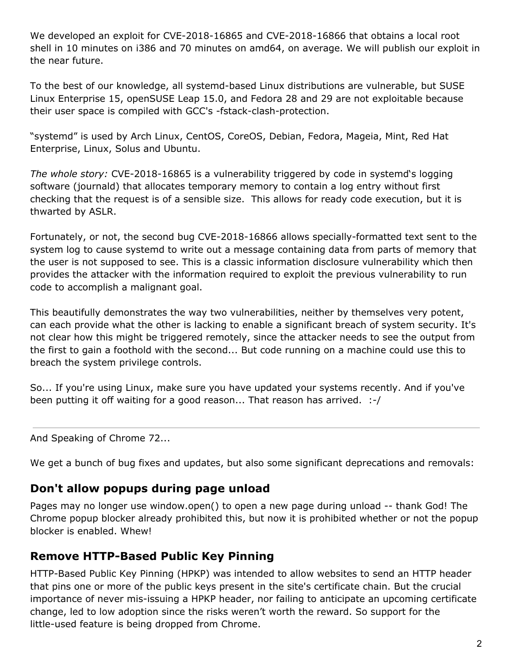We developed an exploit for CVE-2018-16865 and CVE-2018-16866 that obtains a local root shell in 10 minutes on i386 and 70 minutes on amd64, on average. We will publish our exploit in the near future.

To the best of our knowledge, all systemd-based Linux distributions are vulnerable, but SUSE Linux Enterprise 15, openSUSE Leap 15.0, and Fedora 28 and 29 are not exploitable because their user space is compiled with GCC's -fstack-clash-protection.

"systemd" is used by Arch Linux, CentOS, CoreOS, Debian, Fedora, Mageia, Mint, Red Hat Enterprise, Linux, Solus and Ubuntu.

*The whole story:* CVE-2018-16865 is a vulnerability triggered by code in systemd's logging software (journald) that allocates temporary memory to contain a log entry without first checking that the request is of a sensible size. This allows for ready code execution, but it is thwarted by ASLR.

Fortunately, or not, the second bug CVE-2018-16866 allows specially-formatted text sent to the system log to cause systemd to write out a message containing data from parts of memory that the user is not supposed to see. This is a classic information disclosure vulnerability which then provides the attacker with the information required to exploit the previous vulnerability to run code to accomplish a malignant goal.

This beautifully demonstrates the way two vulnerabilities, neither by themselves very potent, can each provide what the other is lacking to enable a significant breach of system security. It's not clear how this might be triggered remotely, since the attacker needs to see the output from the first to gain a foothold with the second... But code running on a machine could use this to breach the system privilege controls.

So... If you're using Linux, make sure you have updated your systems recently. And if you've been putting it off waiting for a good reason... That reason has arrived. :-/

And Speaking of Chrome 72...

We get a bunch of bug fixes and updates, but also some significant deprecations and removals:

### **Don't allow popups during page unload**

Pages may no longer use window.open() to open a new page during unload -- thank God! The Chrome popup blocker already prohibited this, but now it is prohibited whether or not the popup blocker is enabled. Whew!

## **Remove HTTP-Based Public Key Pinning**

HTTP-Based Public Key Pinning (HPKP) was intended to allow websites to send an HTTP header that pins one or more of the public keys present in the site's certificate chain. But the crucial importance of never mis-issuing a HPKP header, nor failing to anticipate an upcoming certificate change, led to low adoption since the risks weren't worth the reward. So support for the little-used feature is being dropped from Chrome.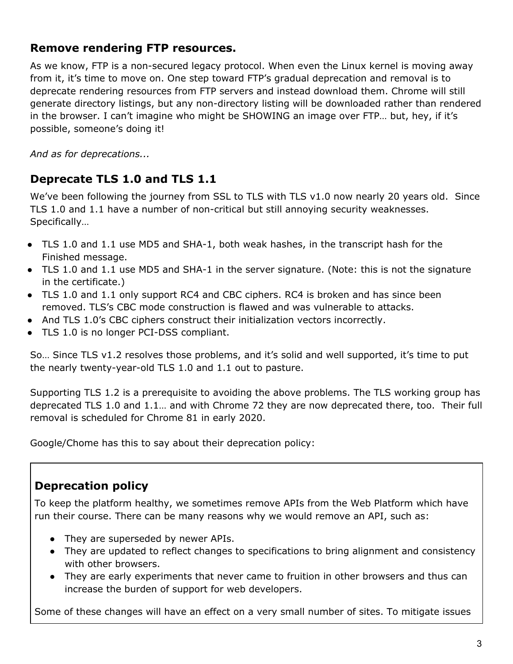### **Remove rendering FTP resources.**

As we know, FTP is a non-secured legacy protocol. When even the Linux kernel is moving away from it, it's time to move on. One step toward FTP's gradual deprecation and removal is to deprecate rendering resources from FTP servers and instead download them. Chrome will still generate directory listings, but any non-directory listing will be downloaded rather than rendered in the browser. I can't imagine who might be SHOWING an image over FTP… but, hey, if it's possible, someone's doing it!

*And as for deprecations...*

## **Deprecate TLS 1.0 and TLS 1.1**

We've been following the journey from SSL to TLS with TLS v1.0 now nearly 20 years old. Since TLS 1.0 and 1.1 have a number of non-critical but still annoying security weaknesses. Specifically…

- TLS 1.0 and 1.1 use MD5 and SHA-1, both weak hashes, in the transcript hash for the Finished message.
- TLS 1.0 and 1.1 use MD5 and SHA-1 in the server signature. (Note: this is not the signature in the certificate.)
- TLS 1.0 and 1.1 only support RC4 and CBC ciphers. RC4 is broken and has since been removed. TLS's CBC mode construction is flawed and was vulnerable to attacks.
- And TLS 1.0's CBC ciphers construct their initialization vectors incorrectly.
- TLS 1.0 is no longer PCI-DSS compliant.

So… Since TLS v1.2 resolves those problems, and it's solid and well supported, it's time to put the nearly twenty-year-old TLS 1.0 and 1.1 out to pasture.

Supporting TLS 1.2 is a prerequisite to avoiding the above problems. The TLS working group has deprecated TLS 1.0 and 1.1… and with Chrome 72 they are now deprecated there, too. Their full removal is scheduled for Chrome 81 in early 2020.

Google/Chome has this to say about their deprecation policy:

## **Deprecation policy**

To keep the platform healthy, we sometimes remove APIs from the Web Platform which have run their course. There can be many reasons why we would remove an API, such as:

- They are superseded by newer APIs.
- They are updated to reflect changes to specifications to bring alignment and consistency with other browsers.
- They are early experiments that never came to fruition in other browsers and thus can increase the burden of support for web developers.

Some of these changes will have an effect on a very small number of sites. To mitigate issues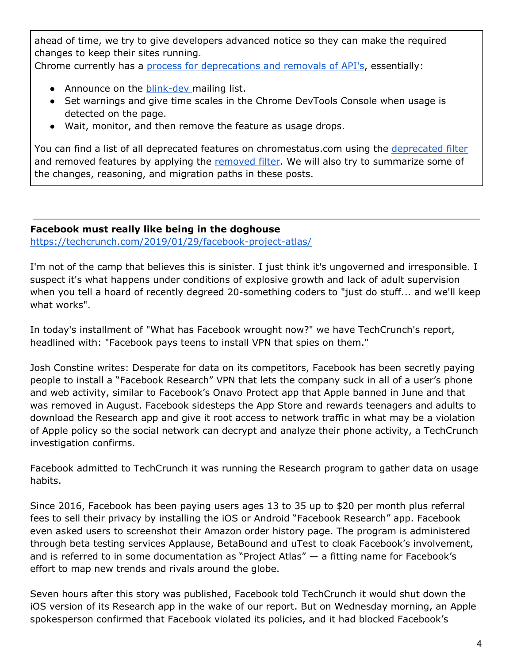ahead of time, we try to give developers advanced notice so they can make the required changes to keep their sites running.

Chrome currently has a [p](http://www.chromium.org/blink#TOC-Launch-Process:-Deprecation)rocess for [deprecations](http://www.chromium.org/blink#TOC-Launch-Process:-Deprecation) and removals of API's, essentially:

- Announce on the [blink-dev](https://groups.google.com/a/chromium.org/forum/#!forum/blink-dev) mailing list.
- Set warnings and give time scales in the Chrome DevTools Console when usage is detected on the page.
- Wait, monitor, and then remove the feature as usage drops.

You can find a list of all deprecated features on chromestatus.com using the [deprecated](https://www.chromestatus.com/features#deprecated) filter and removed features by applying the [removed](https://www.chromestatus.com/features#removed) filter. We will also try to summarize some of the changes, reasoning, and migration paths in these posts.

#### **Facebook must really like being in the doghouse** <https://techcrunch.com/2019/01/29/facebook-project-atlas/>

I'm not of the camp that believes this is sinister. I just think it's ungoverned and irresponsible. I suspect it's what happens under conditions of explosive growth and lack of adult supervision when you tell a hoard of recently degreed 20-something coders to "just do stuff... and we'll keep what works".

In today's installment of "What has Facebook wrought now?" we have TechCrunch's report, headlined with: "Facebook pays teens to install VPN that spies on them."

Josh Constine writes: Desperate for data on its competitors, Facebook has been secretly paying people to install a "Facebook Research" VPN that lets the company suck in all of a user's phone and web activity, similar to Facebook's Onavo Protect app that Apple banned in June and that was removed in August. Facebook sidesteps the App Store and rewards teenagers and adults to download the Research app and give it root access to network traffic in what may be a violation of Apple policy so the social network can decrypt and analyze their phone activity, a TechCrunch investigation confirms.

Facebook admitted to TechCrunch it was running the Research program to gather data on usage habits.

Since 2016, Facebook has been paying users ages 13 to 35 up to \$20 per month plus referral fees to sell their privacy by installing the iOS or Android "Facebook Research" app. Facebook even asked users to screenshot their Amazon order history page. The program is administered through beta testing services Applause, BetaBound and uTest to cloak Facebook's involvement, and is referred to in some documentation as "Project Atlas" — a fitting name for Facebook's effort to map new trends and rivals around the globe.

Seven hours after this story was published, Facebook told TechCrunch it would shut down the iOS version of its Research app in the wake of our report. But on Wednesday morning, an Apple spokesperson confirmed that Facebook violated its policies, and it had blocked Facebook's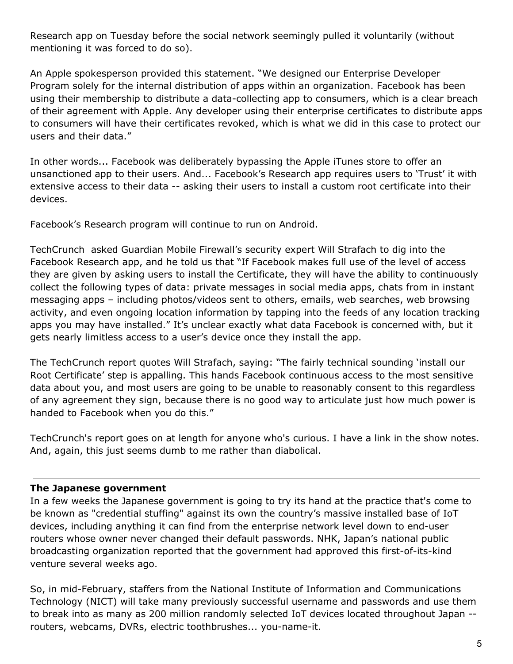Research app on Tuesday before the social network seemingly pulled it voluntarily (without mentioning it was forced to do so).

An Apple spokesperson provided this statement. "We designed our Enterprise Developer Program solely for the internal distribution of apps within an organization. Facebook has been using their membership to distribute a data-collecting app to consumers, which is a clear breach of their agreement with Apple. Any developer using their enterprise certificates to distribute apps to consumers will have their certificates revoked, which is what we did in this case to protect our users and their data."

In other words... Facebook was deliberately bypassing the Apple iTunes store to offer an unsanctioned app to their users. And... Facebook's Research app requires users to 'Trust' it with extensive access to their data -- asking their users to install a custom root certificate into their devices.

Facebook's Research program will continue to run on Android.

TechCrunch asked Guardian Mobile Firewall's security expert Will Strafach to dig into the Facebook Research app, and he told us that "If Facebook makes full use of the level of access they are given by asking users to install the Certificate, they will have the ability to continuously collect the following types of data: private messages in social media apps, chats from in instant messaging apps – including photos/videos sent to others, emails, web searches, web browsing activity, and even ongoing location information by tapping into the feeds of any location tracking apps you may have installed." It's unclear exactly what data Facebook is concerned with, but it gets nearly limitless access to a user's device once they install the app.

The TechCrunch report quotes Will Strafach, saying: "The fairly technical sounding 'install our Root Certificate' step is appalling. This hands Facebook continuous access to the most sensitive data about you, and most users are going to be unable to reasonably consent to this regardless of any agreement they sign, because there is no good way to articulate just how much power is handed to Facebook when you do this."

TechCrunch's report goes on at length for anyone who's curious. I have a link in the show notes. And, again, this just seems dumb to me rather than diabolical.

#### **The Japanese government**

In a few weeks the Japanese government is going to try its hand at the practice that's come to be known as "credential stuffing" against its own the country's massive installed base of IoT devices, including anything it can find from the enterprise network level down to end-user routers whose owner never changed their default passwords. NHK, Japan's national public broadcasting organization reported that the government had approved this first-of-its-kind venture several weeks ago.

So, in mid-February, staffers from the National Institute of Information and Communications Technology (NICT) will take many previously successful username and passwords and use them to break into as many as 200 million randomly selected IoT devices located throughout Japan - routers, webcams, DVRs, electric toothbrushes... you-name-it.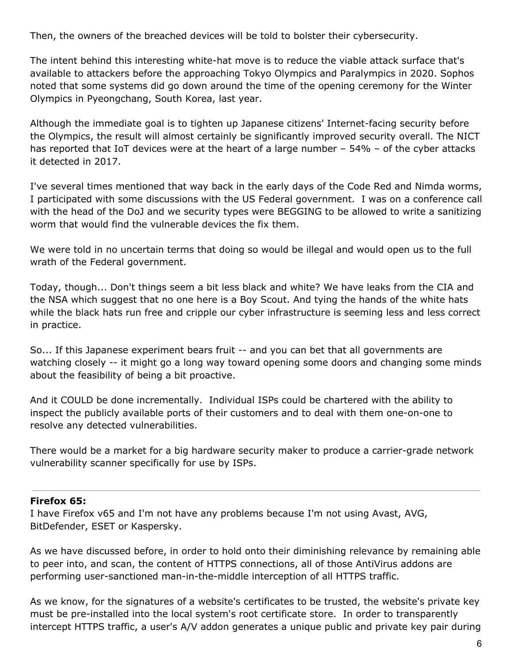Then, the owners of the breached devices will be told to bolster their cybersecurity.

The intent behind this interesting white-hat move is to reduce the viable attack surface that's available to attackers before the approaching Tokyo Olympics and Paralympics in 2020. Sophos noted that some systems did go down around the time of the opening ceremony for the Winter Olympics in Pyeongchang, South Korea, last year.

Although the immediate goal is to tighten up Japanese citizens' Internet-facing security before the Olympics, the result will almost certainly be significantly improved security overall. The NICT has reported that IoT devices were at the heart of a large number – 54% – of the cyber attacks it detected in 2017.

I've several times mentioned that way back in the early days of the Code Red and Nimda worms, I participated with some discussions with the US Federal government. I was on a conference call with the head of the DoJ and we security types were BEGGING to be allowed to write a sanitizing worm that would find the vulnerable devices the fix them.

We were told in no uncertain terms that doing so would be illegal and would open us to the full wrath of the Federal government.

Today, though... Don't things seem a bit less black and white? We have leaks from the CIA and the NSA which suggest that no one here is a Boy Scout. And tying the hands of the white hats while the black hats run free and cripple our cyber infrastructure is seeming less and less correct in practice.

So... If this Japanese experiment bears fruit -- and you can bet that all governments are watching closely -- it might go a long way toward opening some doors and changing some minds about the feasibility of being a bit proactive.

And it COULD be done incrementally. Individual ISPs could be chartered with the ability to inspect the publicly available ports of their customers and to deal with them one-on-one to resolve any detected vulnerabilities.

There would be a market for a big hardware security maker to produce a carrier-grade network vulnerability scanner specifically for use by ISPs.

#### **Firefox 65:**

I have Firefox v65 and I'm not have any problems because I'm not using Avast, AVG, BitDefender, ESET or Kaspersky.

As we have discussed before, in order to hold onto their diminishing relevance by remaining able to peer into, and scan, the content of HTTPS connections, all of those AntiVirus addons are performing user-sanctioned man-in-the-middle interception of all HTTPS traffic.

As we know, for the signatures of a website's certificates to be trusted, the website's private key must be pre-installed into the local system's root certificate store. In order to transparently intercept HTTPS traffic, a user's A/V addon generates a unique public and private key pair during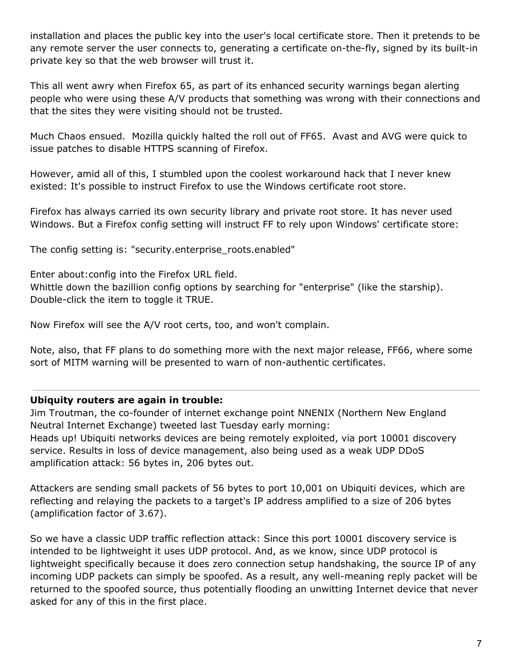installation and places the public key into the user's local certificate store. Then it pretends to be any remote server the user connects to, generating a certificate on-the-fly, signed by its built-in private key so that the web browser will trust it.

This all went awry when Firefox 65, as part of its enhanced security warnings began alerting people who were using these A/V products that something was wrong with their connections and that the sites they were visiting should not be trusted.

Much Chaos ensued. Mozilla quickly halted the roll out of FF65. Avast and AVG were quick to issue patches to disable HTTPS scanning of Firefox.

However, amid all of this, I stumbled upon the coolest workaround hack that I never knew existed: It's possible to instruct Firefox to use the Windows certificate root store.

Firefox has always carried its own security library and private root store. It has never used Windows. But a Firefox config setting will instruct FF to rely upon Windows' certificate store:

The config setting is: "security.enterprise roots.enabled"

Enter about:config into the Firefox URL field. Whittle down the bazillion config options by searching for "enterprise" (like the starship). Double-click the item to toggle it TRUE.

Now Firefox will see the A/V root certs, too, and won't complain.

Note, also, that FF plans to do something more with the next major release, FF66, where some sort of MITM warning will be presented to warn of non-authentic certificates.

#### **Ubiquity routers are again in trouble:**

Jim Troutman, the co-founder of internet exchange point NNENIX (Northern New England Neutral Internet Exchange) tweeted last Tuesday early morning: Heads up! Ubiquiti networks devices are being remotely exploited, via port 10001 discovery service. Results in loss of device management, also being used as a weak UDP DDoS amplification attack: 56 bytes in, 206 bytes out.

Attackers are sending small packets of 56 bytes to port 10,001 on Ubiquiti devices, which are reflecting and relaying the packets to a target's IP address amplified to a size of 206 bytes (amplification factor of 3.67).

So we have a classic UDP traffic reflection attack: Since this port 10001 discovery service is intended to be lightweight it uses UDP protocol. And, as we know, since UDP protocol is lightweight specifically because it does zero connection setup handshaking, the source IP of any incoming UDP packets can simply be spoofed. As a result, any well-meaning reply packet will be returned to the spoofed source, thus potentially flooding an unwitting Internet device that never asked for any of this in the first place.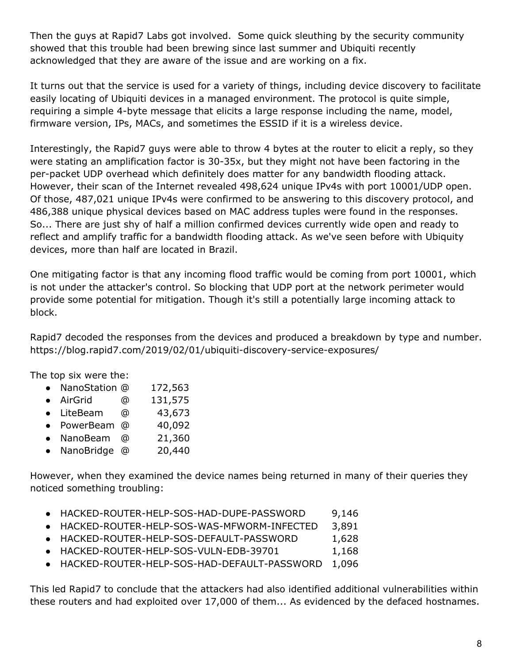Then the guys at Rapid7 Labs got involved. Some quick sleuthing by the security community showed that this trouble had been brewing since last summer and Ubiquiti recently acknowledged that they are aware of the issue and are working on a fix.

It turns out that the service is used for a variety of things, including device discovery to facilitate easily locating of Ubiquiti devices in a managed environment. The protocol is quite simple, requiring a simple 4-byte message that elicits a large response including the name, model, firmware version, IPs, MACs, and sometimes the ESSID if it is a wireless device.

Interestingly, the Rapid7 guys were able to throw 4 bytes at the router to elicit a reply, so they were stating an amplification factor is 30-35x, but they might not have been factoring in the per-packet UDP overhead which definitely does matter for any bandwidth flooding attack. However, their scan of the Internet revealed 498,624 unique IPv4s with port 10001/UDP open. Of those, 487,021 unique IPv4s were confirmed to be answering to this discovery protocol, and 486,388 unique physical devices based on MAC address tuples were found in the responses. So... There are just shy of half a million confirmed devices currently wide open and ready to reflect and amplify traffic for a bandwidth flooding attack. As we've seen before with Ubiquity devices, more than half are located in Brazil.

One mitigating factor is that any incoming flood traffic would be coming from port 10001, which is not under the attacker's control. So blocking that UDP port at the network perimeter would provide some potential for mitigation. Though it's still a potentially large incoming attack to block.

Rapid7 decoded the responses from the devices and produced a breakdown by type and number. https://blog.rapid7.com/2019/02/01/ubiquiti-discovery-service-exposures/

The top six were the:

- NanoStation @ 172,563
- AirGrid @ 131,575
- LiteBeam @ 43,673
- PowerBeam @ 40,092
- NanoBeam @ 21,360
- NanoBridge @ 20,440

However, when they examined the device names being returned in many of their queries they noticed something troubling:

- HACKED-ROUTER-HELP-SOS-HAD-DUPE-PASSWORD 9,146
- HACKED-ROUTER-HELP-SOS-WAS-MFWORM-INFECTED 3,891
- HACKED-ROUTER-HELP-SOS-DEFAULT-PASSWORD 1,628
- HACKED-ROUTER-HELP-SOS-VULN-EDB-39701 1,168
- HACKED-ROUTER-HELP-SOS-HAD-DEFAULT-PASSWORD 1,096

This led Rapid7 to conclude that the attackers had also identified additional vulnerabilities within these routers and had exploited over 17,000 of them... As evidenced by the defaced hostnames.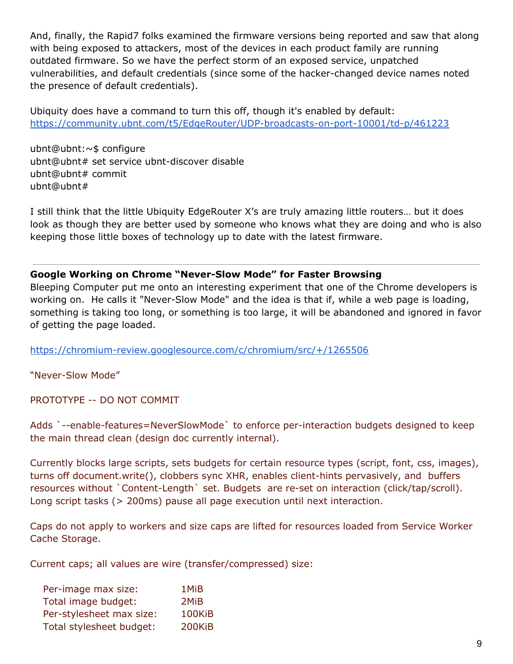And, finally, the Rapid7 folks examined the firmware versions being reported and saw that along with being exposed to attackers, most of the devices in each product family are running outdated firmware. So we have the perfect storm of an exposed service, unpatched vulnerabilities, and default credentials (since some of the hacker-changed device names noted the presence of default credentials).

Ubiquity does have a command to turn this off, though it's enabled by default: <https://community.ubnt.com/t5/EdgeRouter/UDP-broadcasts-on-port-10001/td-p/461223>

ubnt@ubnt:~\$ configure ubnt@ubnt# set service ubnt-discover disable ubnt@ubnt# commit ubnt@ubnt#

I still think that the little Ubiquity EdgeRouter X's are truly amazing little routers… but it does look as though they are better used by someone who knows what they are doing and who is also keeping those little boxes of technology up to date with the latest firmware.

#### **Google Working on Chrome "Never-Slow Mode" for Faster Browsing**

Bleeping Computer put me onto an interesting experiment that one of the Chrome developers is working on. He calls it "Never-Slow Mode" and the idea is that if, while a web page is loading, something is taking too long, or something is too large, it will be abandoned and ignored in favor of getting the page loaded.

<https://chromium-review.googlesource.com/c/chromium/src/+/1265506>

"Never-Slow Mode"

PROTOTYPE -- DO NOT COMMIT

Adds `--enable-features=NeverSlowMode` to enforce per-interaction budgets designed to keep the main thread clean (design doc currently internal).

Currently blocks large scripts, sets budgets for certain resource types (script, font, css, images), turns off document.write(), clobbers sync XHR, enables client-hints pervasively, and buffers resources without `Content-Length` set. Budgets are re-set on interaction (click/tap/scroll). Long script tasks (> 200ms) pause all page execution until next interaction.

Caps do not apply to workers and size caps are lifted for resources loaded from Service Worker Cache Storage.

Current caps; all values are wire (transfer/compressed) size:

| Per-image max size:      | 1MiB   |
|--------------------------|--------|
| Total image budget:      | 2MiB   |
| Per-stylesheet max size: | 100KiB |
| Total stylesheet budget: | 200KiB |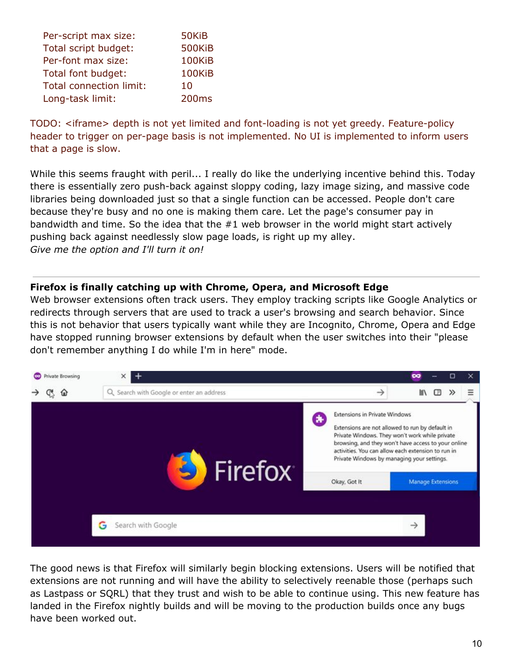| Per-script max size:           | 50KiB             |
|--------------------------------|-------------------|
| Total script budget:           | 500KiB            |
| Per-font max size:             | 100KiB            |
| Total font budget:             | 100KiB            |
| <b>Total connection limit:</b> | 10                |
| Long-task limit:               | 200 <sub>ms</sub> |

TODO: <iframe> depth is not yet limited and font-loading is not yet greedy. Feature-policy header to trigger on per-page basis is not implemented. No UI is implemented to inform users that a page is slow.

While this seems fraught with peril... I really do like the underlying incentive behind this. Today there is essentially zero push-back against sloppy coding, lazy image sizing, and massive code libraries being downloaded just so that a single function can be accessed. People don't care because they're busy and no one is making them care. Let the page's consumer pay in bandwidth and time. So the idea that the #1 web browser in the world might start actively pushing back against needlessly slow page loads, is right up my alley. *Give me the option and I'll turn it on!*

#### **Firefox is finally catching up with Chrome, Opera, and Microsoft Edge**

Web browser extensions often track users. They employ tracking scripts like Google Analytics or redirects through servers that are used to track a user's browsing and search behavior. Since this is not behavior that users typically want while they are Incognito, Chrome, Opera and Edge have stopped running browser extensions by default when the user switches into their "please don't remember anything I do while I'm in here" mode.



The good news is that Firefox will similarly begin blocking extensions. Users will be notified that extensions are not running and will have the ability to selectively reenable those (perhaps such as Lastpass or SQRL) that they trust and wish to be able to continue using. This new feature has landed in the Firefox nightly builds and will be moving to the production builds once any bugs have been worked out.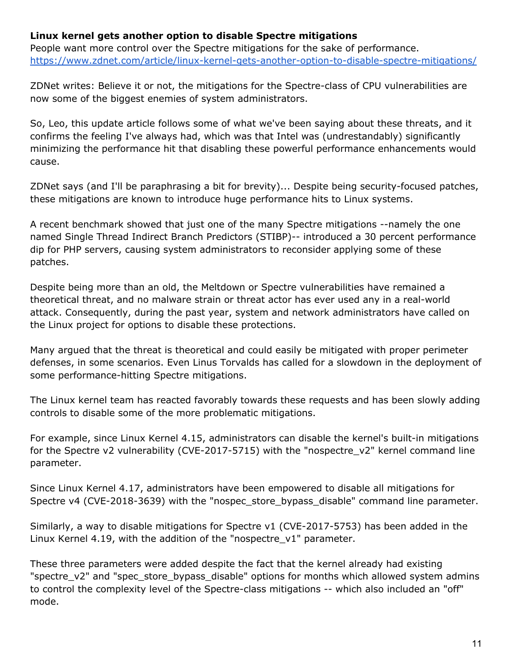#### **Linux kernel gets another option to disable Spectre mitigations**

People want more control over the Spectre mitigations for the sake of performance. <https://www.zdnet.com/article/linux-kernel-gets-another-option-to-disable-spectre-mitigations/>

ZDNet writes: Believe it or not, the mitigations for the Spectre-class of CPU vulnerabilities are now some of the biggest enemies of system administrators.

So, Leo, this update article follows some of what we've been saying about these threats, and it confirms the feeling I've always had, which was that Intel was (undrestandably) significantly minimizing the performance hit that disabling these powerful performance enhancements would cause.

ZDNet says (and I'll be paraphrasing a bit for brevity)... Despite being security-focused patches, these mitigations are known to introduce huge performance hits to Linux systems.

A recent benchmark showed that just one of the many Spectre mitigations --namely the one named Single Thread Indirect Branch Predictors (STIBP)-- introduced a 30 percent performance dip for PHP servers, causing system administrators to reconsider applying some of these patches.

Despite being more than an old, the Meltdown or Spectre vulnerabilities have remained a theoretical threat, and no malware strain or threat actor has ever used any in a real-world attack. Consequently, during the past year, system and network administrators have called on the Linux project for options to disable these protections.

Many argued that the threat is theoretical and could easily be mitigated with proper perimeter defenses, in some scenarios. Even Linus Torvalds has called for a slowdown in the deployment of some performance-hitting Spectre mitigations.

The Linux kernel team has reacted favorably towards these requests and has been slowly adding controls to disable some of the more problematic mitigations.

For example, since Linux Kernel 4.15, administrators can disable the kernel's built-in mitigations for the Spectre v2 vulnerability (CVE-2017-5715) with the "nospectre\_v2" kernel command line parameter.

Since Linux Kernel 4.17, administrators have been empowered to disable all mitigations for Spectre v4 (CVE-2018-3639) with the "nospec\_store\_bypass\_disable" command line parameter.

Similarly, a way to disable mitigations for Spectre v1 (CVE-2017-5753) has been added in the Linux Kernel 4.19, with the addition of the "nospectre\_v1" parameter.

These three parameters were added despite the fact that the kernel already had existing "spectre\_v2" and "spec\_store\_bypass\_disable" options for months which allowed system admins to control the complexity level of the Spectre-class mitigations -- which also included an "off" mode.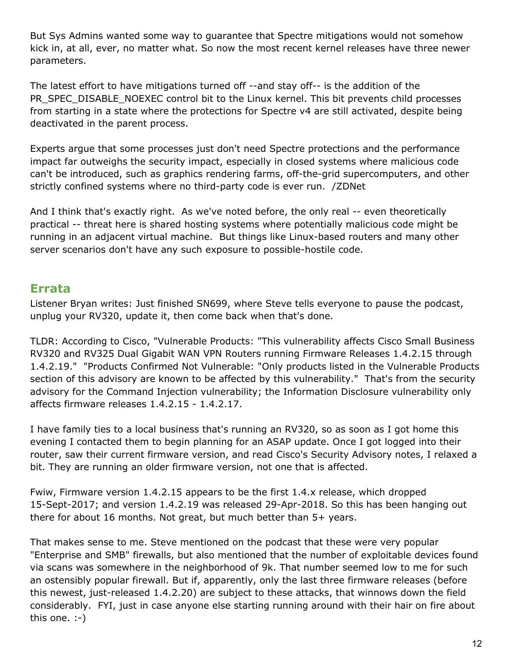But Sys Admins wanted some way to guarantee that Spectre mitigations would not somehow kick in, at all, ever, no matter what. So now the most recent kernel releases have three newer parameters.

The latest effort to have mitigations turned off --and stay off-- is the addition of the PR\_SPEC\_DISABLE\_NOEXEC control bit to the Linux kernel. This bit prevents child processes from starting in a state where the protections for Spectre v4 are still activated, despite being deactivated in the parent process.

Experts argue that some processes just don't need Spectre protections and the performance impact far outweighs the security impact, especially in closed systems where malicious code can't be introduced, such as graphics rendering farms, off-the-grid supercomputers, and other strictly confined systems where no third-party code is ever run. /ZDNet

And I think that's exactly right. As we've noted before, the only real -- even theoretically practical -- threat here is shared hosting systems where potentially malicious code might be running in an adjacent virtual machine. But things like Linux-based routers and many other server scenarios don't have any such exposure to possible-hostile code.

## **Errata**

Listener Bryan writes: Just finished SN699, where Steve tells everyone to pause the podcast, unplug your RV320, update it, then come back when that's done.

TLDR: According to Cisco, "Vulnerable Products: "This vulnerability affects Cisco Small Business RV320 and RV325 Dual Gigabit WAN VPN Routers running Firmware Releases 1.4.2.15 through 1.4.2.19." "Products Confirmed Not Vulnerable: "Only products listed in the Vulnerable Products section of this advisory are known to be affected by this vulnerability." That's from the security advisory for the Command Injection vulnerability; the Information Disclosure vulnerability only affects firmware releases 1.4.2.15 - 1.4.2.17.

I have family ties to a local business that's running an RV320, so as soon as I got home this evening I contacted them to begin planning for an ASAP update. Once I got logged into their router, saw their current firmware version, and read Cisco's Security Advisory notes, I relaxed a bit. They are running an older firmware version, not one that is affected.

Fwiw, Firmware version 1.4.2.15 appears to be the first 1.4.x release, which dropped 15-Sept-2017; and version 1.4.2.19 was released 29-Apr-2018. So this has been hanging out there for about 16 months. Not great, but much better than 5+ years.

That makes sense to me. Steve mentioned on the podcast that these were very popular "Enterprise and SMB" firewalls, but also mentioned that the number of exploitable devices found via scans was somewhere in the neighborhood of 9k. That number seemed low to me for such an ostensibly popular firewall. But if, apparently, only the last three firmware releases (before this newest, just-released 1.4.2.20) are subject to these attacks, that winnows down the field considerably. FYI, just in case anyone else starting running around with their hair on fire about this one. :-)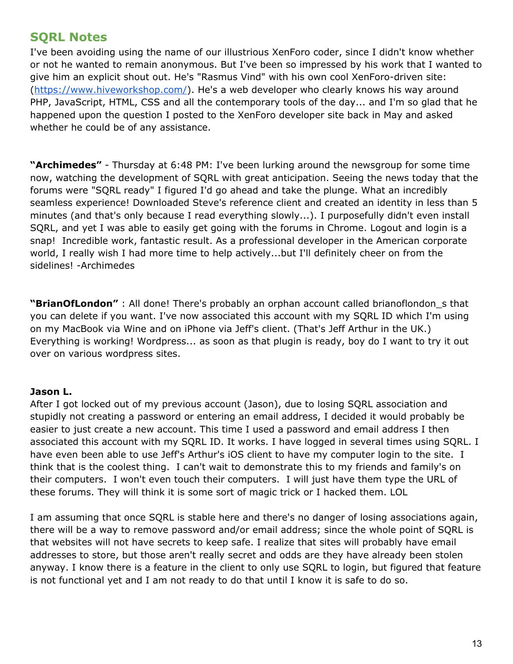## **SQRL Notes**

I've been avoiding using the name of our illustrious XenForo coder, since I didn't know whether or not he wanted to remain anonymous. But I've been so impressed by his work that I wanted to give him an explicit shout out. He's "Rasmus Vind" with his own cool XenForo-driven site: ([https://www.hiveworkshop.com/\)](https://www.hiveworkshop.com/). He's a web developer who clearly knows his way around PHP, JavaScript, HTML, CSS and all the contemporary tools of the day... and I'm so glad that he happened upon the question I posted to the XenForo developer site back in May and asked whether he could be of any assistance.

**"Archimedes"** - Thursday at 6:48 PM: I've been lurking around the newsgroup for some time now, watching the development of SQRL with great anticipation. Seeing the news today that the forums were "SQRL ready" I figured I'd go ahead and take the plunge. What an incredibly seamless experience! Downloaded Steve's reference client and created an identity in less than 5 minutes (and that's only because I read everything slowly...). I purposefully didn't even install SQRL, and yet I was able to easily get going with the forums in Chrome. Logout and login is a snap! Incredible work, fantastic result. As a professional developer in the American corporate world, I really wish I had more time to help actively...but I'll definitely cheer on from the sidelines! -Archimedes

**"BrianOfLondon"** : All done! There's probably an orphan account called brianoflondon\_s that you can delete if you want. I've now associated this account with my SQRL ID which I'm using on my MacBook via Wine and on iPhone via Jeff's client. (That's Jeff Arthur in the UK.) Everything is working! Wordpress... as soon as that plugin is ready, boy do I want to try it out over on various wordpress sites.

#### **Jason L.**

After I got locked out of my previous account (Jason), due to losing SQRL association and stupidly not creating a password or entering an email address, I decided it would probably be easier to just create a new account. This time I used a password and email address I then associated this account with my SQRL ID. It works. I have logged in several times using SQRL. I have even been able to use Jeff's Arthur's iOS client to have my computer login to the site. I think that is the coolest thing. I can't wait to demonstrate this to my friends and family's on their computers. I won't even touch their computers. I will just have them type the URL of these forums. They will think it is some sort of magic trick or I hacked them. LOL

I am assuming that once SQRL is stable here and there's no danger of losing associations again, there will be a way to remove password and/or email address; since the whole point of SQRL is that websites will not have secrets to keep safe. I realize that sites will probably have email addresses to store, but those aren't really secret and odds are they have already been stolen anyway. I know there is a feature in the client to only use SQRL to login, but figured that feature is not functional yet and I am not ready to do that until I know it is safe to do so.